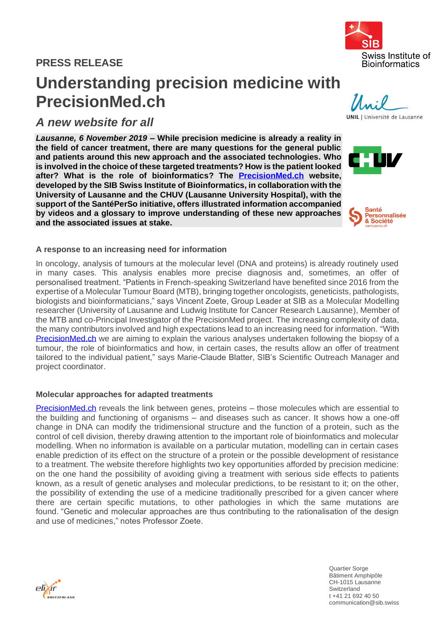## **PRESS RELEASE**

# **Understanding precision medicine with PrecisionMed.ch**

## *A new website for all*

*Lausanne, 6 November 2019* **– While precision medicine is already a reality in the field of cancer treatment, there are many questions for the general public and patients around this new approach and the associated technologies. Who is involved in the choice of these targeted treatments? How is the patient looked after? What is the role of bioinformatics? The [PrecisionMed.ch](https://www.precisionmed.ch/en/) website, developed by the SIB Swiss Institute of Bioinformatics, in collaboration with the University of Lausanne and the CHUV (Lausanne University Hospital), with the support of the SantéPerSo initiative, offers illustrated information accompanied by videos and a glossary to improve understanding of these new approaches and the associated issues at stake.**

### **A response to an increasing need for information**

In oncology, analysis of tumours at the molecular level (DNA and proteins) is already routinely used in many cases. This analysis enables more precise diagnosis and, sometimes, an offer of personalised treatment. "Patients in French-speaking Switzerland have benefited since 2016 from the expertise of a Molecular Tumour Board (MTB), bringing together oncologists, geneticists, pathologists, biologists and bioinformaticians," says Vincent Zoete, Group Leader at SIB as a Molecular Modelling researcher (University of Lausanne and Ludwig Institute for Cancer Research Lausanne), Member of the MTB and co-Principal Investigator of the PrecisionMed project. The increasing complexity of data, the many contributors involved and high expectations lead to an increasing need for information. "With [PrecisionMed.ch](https://www.precisionmed.ch/en/) we are aiming to explain the various analyses undertaken following the biopsy of a tumour, the role of bioinformatics and how, in certain cases, the results allow an offer of treatment tailored to the individual patient," says Marie-Claude Blatter, SIB's Scientific Outreach Manager and project coordinator.

#### **Molecular approaches for adapted treatments**

[PrecisionMed.ch](https://www.precisionmed.ch/en/) reveals the link between genes, proteins – those molecules which are essential to the building and functioning of organisms – and diseases such as cancer. It shows how a one-off change in DNA can modify the tridimensional structure and the function of a protein, such as the control of cell division, thereby drawing attention to the important role of bioinformatics and molecular modelling. When no information is available on a particular mutation, modelling can in certain cases enable prediction of its effect on the structure of a protein or the possible development of resistance to a treatment. The website therefore highlights two key opportunities afforded by precision medicine: on the one hand the possibility of avoiding giving a treatment with serious side effects to patients known, as a result of genetic analyses and molecular predictions, to be resistant to it; on the other, the possibility of extending the use of a medicine traditionally prescribed for a given cancer where there are certain specific mutations, to other pathologies in which the same mutations are found. "Genetic and molecular approaches are thus contributing to the rationalisation of the design and use of medicines," notes Professor Zoete.



Quartier Sorge Bâtiment Amphipôle CH-1015 Lausanne **Switzerland** t +41 21 692 40 50 communication@sib.swiss